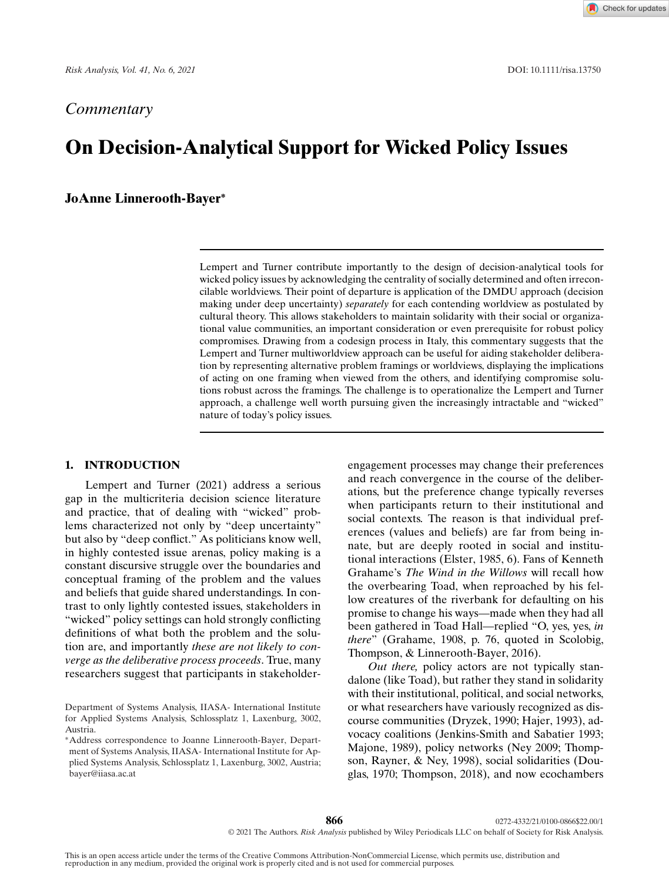# *Commentary*

# **On Decision-Analytical Support for Wicked Policy Issues**

## **JoAnne Linnerooth-Bayer<sup>∗</sup>**

Lempert and Turner contribute importantly to the design of decision-analytical tools for wicked policy issues by acknowledging the centrality of socially determined and often irreconcilable worldviews. Their point of departure is application of the DMDU approach (decision making under deep uncertainty) *separately* for each contending worldview as postulated by cultural theory. This allows stakeholders to maintain solidarity with their social or organizational value communities, an important consideration or even prerequisite for robust policy compromises. Drawing from a codesign process in Italy, this commentary suggests that the Lempert and Turner multiworldview approach can be useful for aiding stakeholder deliberation by representing alternative problem framings or worldviews, displaying the implications of acting on one framing when viewed from the others, and identifying compromise solutions robust across the framings. The challenge is to operationalize the Lempert and Turner approach, a challenge well worth pursuing given the increasingly intractable and "wicked" nature of today's policy issues.

## **1. INTRODUCTION**

Lempert and Turner (2021) address a serious gap in the multicriteria decision science literature and practice, that of dealing with "wicked" problems characterized not only by "deep uncertainty" but also by "deep conflict." As politicians know well, in highly contested issue arenas, policy making is a constant discursive struggle over the boundaries and conceptual framing of the problem and the values and beliefs that guide shared understandings. In contrast to only lightly contested issues, stakeholders in "wicked" policy settings can hold strongly conflicting definitions of what both the problem and the solution are, and importantly *these are not likely to converge as the deliberative process proceeds*. True, many researchers suggest that participants in stakeholderengagement processes may change their preferences and reach convergence in the course of the deliberations, but the preference change typically reverses when participants return to their institutional and social contexts. The reason is that individual preferences (values and beliefs) are far from being innate, but are deeply rooted in social and institutional interactions (Elster, 1985, 6). Fans of Kenneth Grahame's *The Wind in the Willows* will recall how the overbearing Toad, when reproached by his fellow creatures of the riverbank for defaulting on his promise to change his ways—made when they had all been gathered in Toad Hall—replied "O, yes, yes, *in there*" (Grahame, 1908, p. 76, quoted in Scolobig, Thompson, & Linnerooth-Bayer, 2016).

*Out there,* policy actors are not typically standalone (like Toad), but rather they stand in solidarity with their institutional, political, and social networks, or what researchers have variously recognized as discourse communities (Dryzek, 1990; Hajer, 1993), advocacy coalitions (Jenkins-Smith and Sabatier 1993; Majone, 1989), policy networks (Ney 2009; Thompson, Rayner, & Ney, 1998), social solidarities (Douglas, 1970; Thompson, 2018), and now ecochambers

Department of Systems Analysis, IIASA- International Institute for Applied Systems Analysis, Schlossplatz 1, Laxenburg, 3002, Austria.

<sup>∗</sup>Address correspondence to Joanne Linnerooth-Bayer, Department of Systems Analysis, IIASA- International Institute for Applied Systems Analysis, Schlossplatz 1, Laxenburg, 3002, Austria; bayer@iiasa.ac.at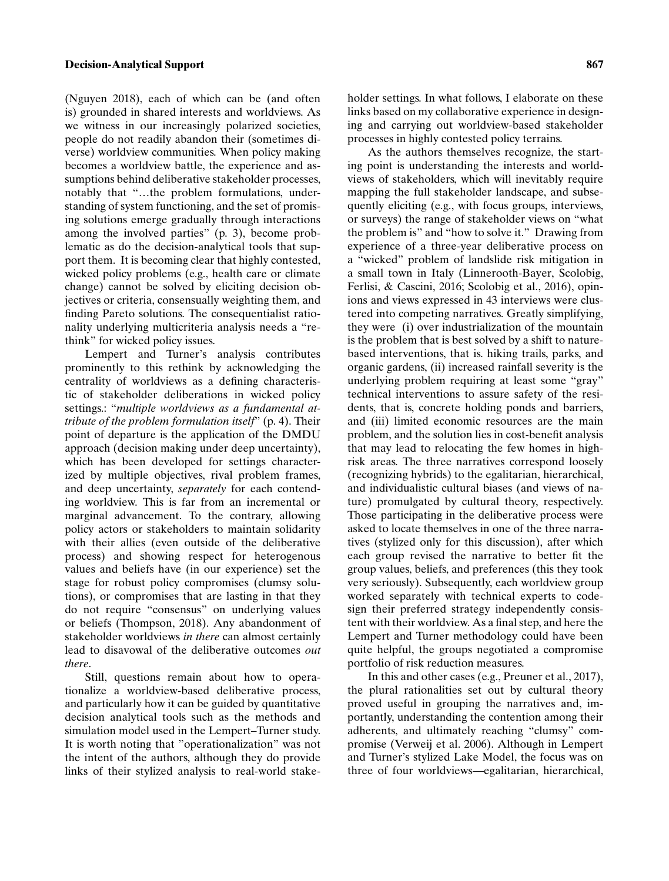### **Decision-Analytical Support 867**

(Nguyen 2018), each of which can be (and often is) grounded in shared interests and worldviews. As we witness in our increasingly polarized societies, people do not readily abandon their (sometimes diverse) worldview communities. When policy making becomes a worldview battle, the experience and assumptions behind deliberative stakeholder processes, notably that "…the problem formulations, understanding of system functioning, and the set of promising solutions emerge gradually through interactions among the involved parties" (p. 3), become problematic as do the decision-analytical tools that support them. It is becoming clear that highly contested, wicked policy problems (e.g., health care or climate change) cannot be solved by eliciting decision objectives or criteria, consensually weighting them, and finding Pareto solutions. The consequentialist rationality underlying multicriteria analysis needs a "rethink" for wicked policy issues.

Lempert and Turner's analysis contributes prominently to this rethink by acknowledging the centrality of worldviews as a defining characteristic of stakeholder deliberations in wicked policy settings.: "*multiple worldviews as a fundamental attribute of the problem formulation itself*" (p. 4). Their point of departure is the application of the DMDU approach (decision making under deep uncertainty), which has been developed for settings characterized by multiple objectives, rival problem frames, and deep uncertainty, *separately* for each contending worldview. This is far from an incremental or marginal advancement. To the contrary, allowing policy actors or stakeholders to maintain solidarity with their allies (even outside of the deliberative process) and showing respect for heterogenous values and beliefs have (in our experience) set the stage for robust policy compromises (clumsy solutions), or compromises that are lasting in that they do not require "consensus" on underlying values or beliefs (Thompson, 2018). Any abandonment of stakeholder worldviews *in there* can almost certainly lead to disavowal of the deliberative outcomes *out there*.

Still, questions remain about how to operationalize a worldview-based deliberative process, and particularly how it can be guided by quantitative decision analytical tools such as the methods and simulation model used in the Lempert–Turner study. It is worth noting that "operationalization" was not the intent of the authors, although they do provide links of their stylized analysis to real-world stakeholder settings. In what follows, I elaborate on these links based on my collaborative experience in designing and carrying out worldview-based stakeholder processes in highly contested policy terrains.

As the authors themselves recognize, the starting point is understanding the interests and worldviews of stakeholders, which will inevitably require mapping the full stakeholder landscape, and subsequently eliciting (e.g., with focus groups, interviews, or surveys) the range of stakeholder views on "what the problem is" and "how to solve it." Drawing from experience of a three-year deliberative process on a "wicked" problem of landslide risk mitigation in a small town in Italy (Linnerooth-Bayer, Scolobig, Ferlisi, & Cascini, 2016; Scolobig et al., 2016), opinions and views expressed in 43 interviews were clustered into competing narratives. Greatly simplifying, they were (i) over industrialization of the mountain is the problem that is best solved by a shift to naturebased interventions, that is. hiking trails, parks, and organic gardens, (ii) increased rainfall severity is the underlying problem requiring at least some "gray" technical interventions to assure safety of the residents, that is, concrete holding ponds and barriers, and (iii) limited economic resources are the main problem, and the solution lies in cost-benefit analysis that may lead to relocating the few homes in highrisk areas. The three narratives correspond loosely (recognizing hybrids) to the egalitarian, hierarchical, and individualistic cultural biases (and views of nature) promulgated by cultural theory, respectively. Those participating in the deliberative process were asked to locate themselves in one of the three narratives (stylized only for this discussion), after which each group revised the narrative to better fit the group values, beliefs, and preferences (this they took very seriously). Subsequently, each worldview group worked separately with technical experts to codesign their preferred strategy independently consistent with their worldview. As a final step, and here the Lempert and Turner methodology could have been quite helpful, the groups negotiated a compromise portfolio of risk reduction measures.

In this and other cases (e.g., Preuner et al., 2017), the plural rationalities set out by cultural theory proved useful in grouping the narratives and, importantly, understanding the contention among their adherents, and ultimately reaching "clumsy" compromise (Verweij et al. 2006). Although in Lempert and Turner's stylized Lake Model, the focus was on three of four worldviews—egalitarian, hierarchical,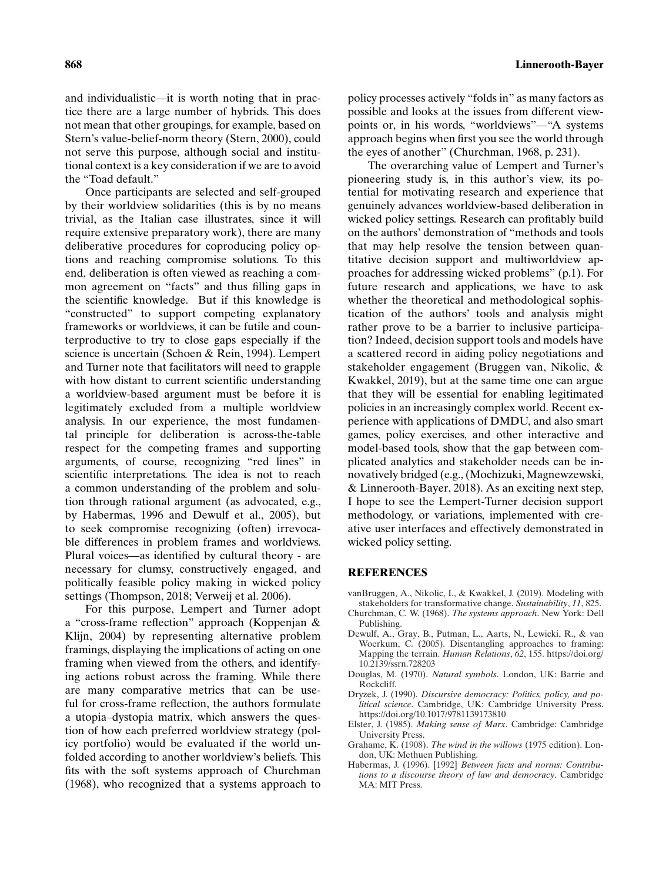and individualistic—it is worth noting that in practice there are a large number of hybrids. This does not mean that other groupings, for example, based on Stern's value-belief-norm theory (Stern, 2000), could not serve this purpose, although social and institutional context is a key consideration if we are to avoid the "Toad default."

Once participants are selected and self-grouped by their worldview solidarities (this is by no means trivial, as the Italian case illustrates, since it will require extensive preparatory work), there are many deliberative procedures for coproducing policy options and reaching compromise solutions. To this end, deliberation is often viewed as reaching a common agreement on "facts" and thus filling gaps in the scientific knowledge. But if this knowledge is "constructed" to support competing explanatory frameworks or worldviews, it can be futile and counterproductive to try to close gaps especially if the science is uncertain (Schoen & Rein, 1994). Lempert and Turner note that facilitators will need to grapple with how distant to current scientific understanding a worldview-based argument must be before it is legitimately excluded from a multiple worldview analysis. In our experience, the most fundamental principle for deliberation is across-the-table respect for the competing frames and supporting arguments, of course, recognizing "red lines" in scientific interpretations. The idea is not to reach a common understanding of the problem and solution through rational argument (as advocated, e.g., by Habermas, 1996 and Dewulf et al., 2005), but to seek compromise recognizing (often) irrevocable differences in problem frames and worldviews. Plural voices—as identified by cultural theory - are necessary for clumsy, constructively engaged, and politically feasible policy making in wicked policy settings (Thompson, 2018; Verweij et al. 2006).

For this purpose, Lempert and Turner adopt a "cross-frame reflection" approach (Koppenjan & Klijn, 2004) by representing alternative problem framings, displaying the implications of acting on one framing when viewed from the others, and identifying actions robust across the framing. While there are many comparative metrics that can be useful for cross-frame reflection, the authors formulate a utopia–dystopia matrix, which answers the question of how each preferred worldview strategy (policy portfolio) would be evaluated if the world unfolded according to another worldview's beliefs. This fits with the soft systems approach of Churchman (1968), who recognized that a systems approach to

policy processes actively "folds in" as many factors as possible and looks at the issues from different viewpoints or, in his words, "worldviews"—"A systems approach begins when first you see the world through the eyes of another" (Churchman, 1968, p. 231).

The overarching value of Lempert and Turner's pioneering study is, in this author's view, its potential for motivating research and experience that genuinely advances worldview-based deliberation in wicked policy settings. Research can profitably build on the authors' demonstration of "methods and tools that may help resolve the tension between quantitative decision support and multiworldview approaches for addressing wicked problems" (p.1). For future research and applications, we have to ask whether the theoretical and methodological sophistication of the authors' tools and analysis might rather prove to be a barrier to inclusive participation? Indeed, decision support tools and models have a scattered record in aiding policy negotiations and stakeholder engagement (Bruggen van, Nikolic, & Kwakkel, 2019), but at the same time one can argue that they will be essential for enabling legitimated policies in an increasingly complex world. Recent experience with applications of DMDU, and also smart games, policy exercises, and other interactive and model-based tools, show that the gap between complicated analytics and stakeholder needs can be innovatively bridged (e.g., (Mochizuki, Magnewzewski, & Linnerooth-Bayer, 2018). As an exciting next step, I hope to see the Lempert-Turner decision support methodology, or variations, implemented with creative user interfaces and effectively demonstrated in wicked policy setting.

#### **REFERENCES**

- vanBruggen, A., Nikolic, I., & Kwakkel, J. (2019). Modeling with stakeholders for transformative change. *Sustainability*, *11*, 825.
- Churchman, C. W. (1968). *The systems approach*. New York: Dell Publishing.
- Dewulf, A., Gray, B., Putman, L., Aarts, N., Lewicki, R., & van Woerkum, C. (2005). Disentangling approaches to framing: Mapping the terrain. *Human Relations*, *62*, 155. [https://doi.org/](https://doi.org/10.2139/ssrn.728203) [10.2139/ssrn.728203](https://doi.org/10.2139/ssrn.728203)
- Douglas, M. (1970). *Natural symbols*. London, UK: Barrie and Rockcliff.
- Dryzek, J. (1990). *Discursive democracy: Politics, policy, and political science*. Cambridge, UK: Cambridge University Press. <https://doi.org/10.1017/9781139173810>
- Elster, J. (1985). *Making sense of Marx*. Cambridge: Cambridge University Press.
- Grahame, K. (1908). *The wind in the willows* (1975 edition). London, UK: Methuen Publishing.
- Habermas, J. (1996). [1992] *Between facts and norms: Contributions to a discourse theory of law and democracy*. Cambridge MA: MIT Press.